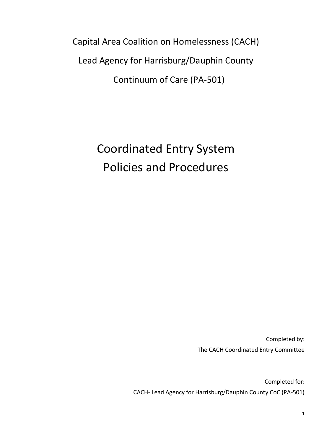Capital Area Coalition on Homelessness (CACH) Lead Agency for Harrisburg/Dauphin County Continuum of Care (PA-501)

> Coordinated Entry System Policies and Procedures

> > Completed by: The CACH Coordinated Entry Committee

Completed for: CACH- Lead Agency for Harrisburg/Dauphin County CoC (PA-501)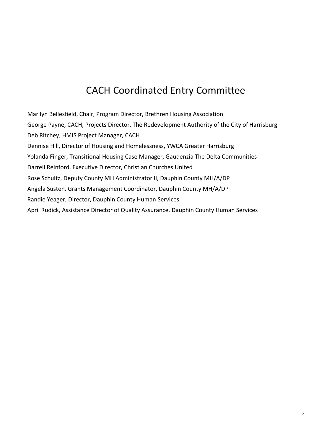# CACH Coordinated Entry Committee

Marilyn Bellesfield, Chair, Program Director, Brethren Housing Association George Payne, CACH, Projects Director, The Redevelopment Authority of the City of Harrisburg Deb Ritchey, HMIS Project Manager, CACH Dennise Hill, Director of Housing and Homelessness, YWCA Greater Harrisburg Yolanda Finger, Transitional Housing Case Manager, Gaudenzia The Delta Communities Darrell Reinford, Executive Director, Christian Churches United Rose Schultz, Deputy County MH Administrator II, Dauphin County MH/A/DP Angela Susten, Grants Management Coordinator, Dauphin County MH/A/DP Randie Yeager, Director, Dauphin County Human Services April Rudick, Assistance Director of Quality Assurance, Dauphin County Human Services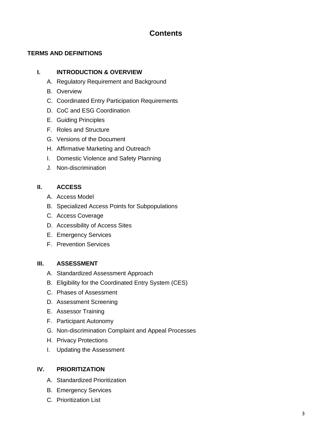# **Contents**

# **TERMS AND DEFINITIONS**

# **I. INTRODUCTION & OVERVIEW**

- A. Regulatory Requirement and Background
- B. Overview
- C. Coordinated Entry Participation Requirements
- D. CoC and ESG Coordination
- E. Guiding Principles
- F. Roles and Structure
- G. Versions of the Document
- H. Affirmative Marketing and Outreach
- I. Domestic Violence and Safety Planning
- J. Non-discrimination

# **II. ACCESS**

- A. Access Model
- B. Specialized Access Points for Subpopulations
- C. Access Coverage
- D. Accessibility of Access Sites
- E. Emergency Services
- F. Prevention Services

# **III. ASSESSMENT**

- A. Standardized Assessment Approach
- B. Eligibility for the Coordinated Entry System (CES)
- C. Phases of Assessment
- D. Assessment Screening
- E. Assessor Training
- F. Participant Autonomy
- G. Non-discrimination Complaint and Appeal Processes
- H. Privacy Protections
- I. Updating the Assessment

#### **IV. PRIORITIZATION**

- A. Standardized Prioritization
- B. Emergency Services
- C. Prioritization List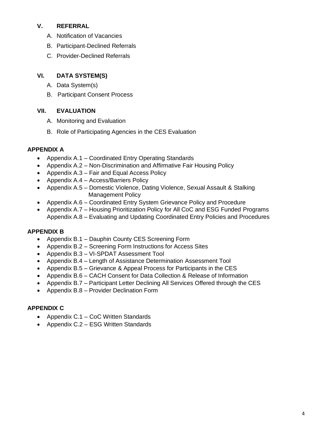### **V. REFERRAL**

- A. Notification of Vacancies
- B. Participant-Declined Referrals
- C. Provider-Declined Referrals

# **VI. DATA SYSTEM(S)**

- A. Data System(s)
- B. Participant Consent Process

# **VII. EVALUATION**

- A. Monitoring and Evaluation
- B. Role of Participating Agencies in the CES Evaluation

# **APPENDIX A**

- Appendix A.1 Coordinated Entry Operating Standards
- Appendix A.2 Non-Discrimination and Affirmative Fair Housing Policy
- Appendix A.3 Fair and Equal Access Policy
- Appendix A.4 Access/Barriers Policy
- Appendix A.5 Domestic Violence, Dating Violence, Sexual Assault & Stalking Management Policy
- Appendix A.6 Coordinated Entry System Grievance Policy and Procedure
- Appendix A.7 Housing Prioritization Policy for All CoC and ESG Funded Programs Appendix A.8 – Evaluating and Updating Coordinated Entry Policies and Procedures

# **APPENDIX B**

- Appendix B.1 Dauphin County CES Screening Form
- Appendix B.2 Screening Form Instructions for Access Sites
- Appendix B.3 VI-SPDAT Assessment Tool
- Appendix B.4 Length of Assistance Determination Assessment Tool
- Appendix B.5 Grievance & Appeal Process for Participants in the CES
- Appendix B.6 CACH Consent for Data Collection & Release of Information
- Appendix B.7 Participant Letter Declining All Services Offered through the CES
- Appendix B.8 Provider Declination Form

# **APPENDIX C**

- Appendix C.1 CoC Written Standards
- Appendix C.2 ESG Written Standards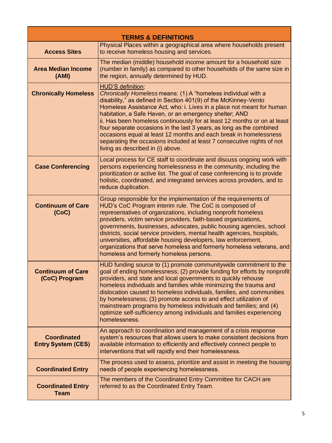| <b>TERMS &amp; DEFINITIONS</b>                  |                                                                                                                                                                                                                                                                                                                                                                                                                                                                                                                                                                                                                                  |  |  |
|-------------------------------------------------|----------------------------------------------------------------------------------------------------------------------------------------------------------------------------------------------------------------------------------------------------------------------------------------------------------------------------------------------------------------------------------------------------------------------------------------------------------------------------------------------------------------------------------------------------------------------------------------------------------------------------------|--|--|
|                                                 | Physical Places within a geographical area where households present                                                                                                                                                                                                                                                                                                                                                                                                                                                                                                                                                              |  |  |
| <b>Access Sites</b>                             | to receive homeless housing and services.                                                                                                                                                                                                                                                                                                                                                                                                                                                                                                                                                                                        |  |  |
| <b>Area Median Income</b><br>(AMI)              | The median (middle) household income amount for a household size<br>(number in family) as compared to other households of the same size in<br>the region, annually determined by HUD.                                                                                                                                                                                                                                                                                                                                                                                                                                            |  |  |
| <b>Chronically Homeless</b>                     | HUD'S definition:<br>Chronically Homeless means: (1) A "homeless individual with a<br>disability," as defined in Section 401(9) of the McKinney-Vento<br>Homeless Assistance Act, who: i. Lives in a place not meant for human<br>habitation, a Safe Haven, or an emergency shelter; AND<br>ii. Has been homeless continuously for at least 12 months or on at least<br>four separate occasions in the last 3 years, as long as the combined<br>occasions equal at least 12 months and each break in homelessness<br>separating the occasions included at least 7 consecutive nights of not<br>living as described in (i) above. |  |  |
| <b>Case Conferencing</b>                        | Local process for CE staff to coordinate and discuss ongoing work with<br>persons experiencing homelessness in the community, including the<br>prioritization or active list. The goal of case conferencing is to provide<br>holistic, coordinated, and integrated services across providers, and to<br>reduce duplication.                                                                                                                                                                                                                                                                                                      |  |  |
| <b>Continuum of Care</b><br>(CoC)               | Group responsible for the implementation of the requirements of<br>HUD's CoC Program interim rule. The CoC is composed of<br>representatives of organizations, including nonprofit homeless<br>providers, victim service providers, faith-based organizations,<br>governments, businesses, advocates, public housing agencies, school<br>districts, social service providers, mental health agencies, hospitals,<br>universities, affordable housing developers, law enforcement,<br>organizations that serve homeless and formerly homeless veterans, and<br>homeless and formerly homeless persons.                            |  |  |
| Continuum of Care<br>(CoC) Program              | HUD funding source to (1) promote communitywide commitment to the<br>goal of ending homelessness; (2) provide funding for efforts by nonprofit<br>providers, and state and local governments to quickly rehouse<br>homeless individuals and families while minimizing the trauma and<br>dislocation caused to homeless individuals, families, and communities<br>by homelessness; (3) promote access to and effect utilization of<br>mainstream programs by homeless individuals and families; and (4)<br>optimize self-sufficiency among individuals and families experiencing<br>homelessness.                                 |  |  |
| <b>Coordinated</b><br><b>Entry System (CES)</b> | An approach to coordination and management of a crisis response<br>system's resources that allows users to make consistent decisions from<br>available information to efficiently and effectively connect people to<br>interventions that will rapidly end their homelessness.                                                                                                                                                                                                                                                                                                                                                   |  |  |
| <b>Coordinated Entry</b>                        | The process used to assess, prioritize and assist in meeting the housing<br>needs of people experiencing homelessness.                                                                                                                                                                                                                                                                                                                                                                                                                                                                                                           |  |  |
| <b>Coordinated Entry</b><br><b>Team</b>         | The members of the Coordinated Entry Committee for CACH are<br>referred to as the Coordinated Entry Team.                                                                                                                                                                                                                                                                                                                                                                                                                                                                                                                        |  |  |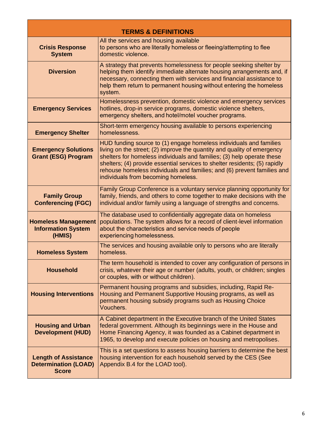| <b>TERMS &amp; DEFINITIONS</b>                                             |                                                                                                                                                                                                                                                                                                                                                                                                                         |  |
|----------------------------------------------------------------------------|-------------------------------------------------------------------------------------------------------------------------------------------------------------------------------------------------------------------------------------------------------------------------------------------------------------------------------------------------------------------------------------------------------------------------|--|
| <b>Crisis Response</b><br><b>System</b>                                    | All the services and housing available<br>to persons who are literally homeless or fleeing/attempting to flee<br>domestic violence.                                                                                                                                                                                                                                                                                     |  |
| <b>Diversion</b>                                                           | A strategy that prevents homelessness for people seeking shelter by<br>helping them identify immediate alternate housing arrangements and, if<br>necessary, connecting them with services and financial assistance to<br>help them return to permanent housing without entering the homeless<br>system.                                                                                                                 |  |
| <b>Emergency Services</b>                                                  | Homelessness prevention, domestic violence and emergency services<br>hotlines, drop-in service programs, domestic violence shelters,<br>emergency shelters, and hotel/motel voucher programs.                                                                                                                                                                                                                           |  |
| <b>Emergency Shelter</b>                                                   | Short-term emergency housing available to persons experiencing<br>homelessness.                                                                                                                                                                                                                                                                                                                                         |  |
| <b>Emergency Solutions</b><br><b>Grant (ESG) Program</b>                   | HUD funding source to (1) engage homeless individuals and families<br>living on the street; (2) improve the quantity and quality of emergency<br>shelters for homeless individuals and families; (3) help operate these<br>shelters; (4) provide essential services to shelter residents; (5) rapidly<br>rehouse homeless individuals and families; and (6) prevent families and<br>individuals from becoming homeless. |  |
| <b>Family Group</b><br><b>Conferencing (FGC)</b>                           | Family Group Conference is a voluntary service planning opportunity for<br>family, friends, and others to come together to make decisions with the<br>individual and/or family using a language of strengths and concerns.                                                                                                                                                                                              |  |
| <b>Homeless Management</b><br><b>Information System</b><br>(HMIS)          | The database used to confidentially aggregate data on homeless<br>populations. The system allows for a record of client-level information<br>about the characteristics and service needs of people<br>experiencing homelessness.                                                                                                                                                                                        |  |
| <b>Homeless System</b>                                                     | The services and housing available only to persons who are literally<br>homeless.                                                                                                                                                                                                                                                                                                                                       |  |
| <b>Household</b>                                                           | The term household is intended to cover any configuration of persons in<br>crisis, whatever their age or number (adults, youth, or children; singles<br>or couples, with or without children).                                                                                                                                                                                                                          |  |
| <b>Housing Interventions</b>                                               | Permanent housing programs and subsidies, including, Rapid Re-<br>Housing and Permanent Supportive Housing programs, as well as<br>permanent housing subsidy programs such as Housing Choice<br>Vouchers.                                                                                                                                                                                                               |  |
| <b>Housing and Urban</b><br><b>Development (HUD)</b>                       | A Cabinet department in the Executive branch of the United States<br>federal government. Although its beginnings were in the House and<br>Home Financing Agency, it was founded as a Cabinet department in<br>1965, to develop and execute policies on housing and metropolises.                                                                                                                                        |  |
| <b>Length of Assistance</b><br><b>Determination (LOAD)</b><br><b>Score</b> | This is a set questions to assess housing barriers to determine the best<br>housing intervention for each household served by the CES (See<br>Appendix B.4 for the LOAD tool).                                                                                                                                                                                                                                          |  |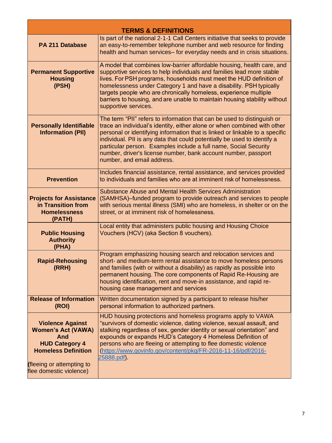| <b>TERMS &amp; DEFINITIONS</b>                                                                                                                                             |                                                                                                                                                                                                                                                                                                                                                                                                                                                                                     |  |  |
|----------------------------------------------------------------------------------------------------------------------------------------------------------------------------|-------------------------------------------------------------------------------------------------------------------------------------------------------------------------------------------------------------------------------------------------------------------------------------------------------------------------------------------------------------------------------------------------------------------------------------------------------------------------------------|--|--|
| <b>PA 211 Database</b>                                                                                                                                                     | Is part of the national 2-1-1 Call Centers initiative that seeks to provide<br>an easy-to-remember telephone number and web resource for finding<br>health and human services- for everyday needs and in crisis situations.                                                                                                                                                                                                                                                         |  |  |
| <b>Permanent Supportive</b><br><b>Housing</b><br>(PSH)                                                                                                                     | A model that combines low-barrier affordable housing, health care, and<br>supportive services to help individuals and families lead more stable<br>lives. For PSH programs, households must meet the HUD definition of<br>homelessness under Category 1 and have a disability. PSH typically<br>targets people who are chronically homeless, experience multiple<br>barriers to housing, and are unable to maintain housing stability without<br>supportive services.               |  |  |
| <b>Personally Identifiable</b><br><b>Information (PII)</b>                                                                                                                 | The term "PII" refers to information that can be used to distinguish or<br>trace an individual's identity, either alone or when combined with other<br>personal or identifying information that is linked or linkable to a specific<br>individual. PII is any data that could potentially be used to identify a<br>particular person. Examples include a full name, Social Security<br>number, driver's license number, bank account number, passport<br>number, and email address. |  |  |
| <b>Prevention</b>                                                                                                                                                          | Includes financial assistance, rental assistance, and services provided<br>to individuals and families who are at imminent risk of homelessness.                                                                                                                                                                                                                                                                                                                                    |  |  |
| <b>Projects for Assistance</b><br>in Transition from<br><b>Homelessness</b><br>(PATH)                                                                                      | Substance Abuse and Mental Health Services Administration<br>(SAMHSA)-funded program to provide outreach and services to people<br>with serious mental illness (SMI) who are homeless, in shelter or on the<br>street, or at imminent risk of homelessness.                                                                                                                                                                                                                         |  |  |
| <b>Public Housing</b><br><b>Authority</b><br>(PHA)                                                                                                                         | Local entity that administers public housing and Housing Choice<br>Vouchers (HCV) (aka Section 8 vouchers).                                                                                                                                                                                                                                                                                                                                                                         |  |  |
| <b>Rapid-Rehousing</b><br>(RRH)                                                                                                                                            | Program emphasizing housing search and relocation services and<br>short- and medium-term rental assistance to move homeless persons<br>and families (with or without a disability) as rapidly as possible into<br>permanent housing. The core components of Rapid Re-Housing are<br>housing identification, rent and move-in assistance, and rapid re-<br>housing case management and services                                                                                      |  |  |
| <b>Release of Information</b><br>(ROI)                                                                                                                                     | Written documentation signed by a participant to release his/her<br>personal information to authorized partners.                                                                                                                                                                                                                                                                                                                                                                    |  |  |
| <b>Violence Against</b><br><b>Women's Act (VAWA)</b><br>And<br><b>HUD Category 4</b><br><b>Homeless Definition</b><br>(fleeing or attempting to<br>flee domestic violence) | HUD housing protections and homeless programs apply to VAWA<br>"survivors of domestic violence, dating violence, sexual assault, and<br>stalking regardless of sex, gender identity or sexual orientation" and<br>expounds or expands HUD's Category 4 Homeless Definition of<br>persons who are fleeing or attempting to flee domestic violence<br>(https://www.govinfo.gov/content/pkg/FR-2016-11-16/pdf/2016-<br>25888.pdf).                                                     |  |  |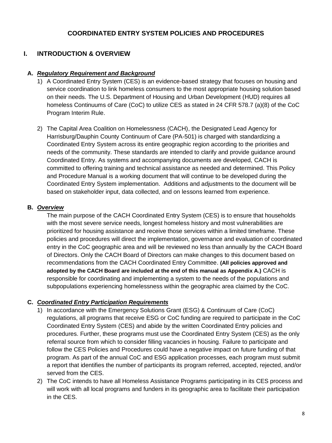# **COORDINATED ENTRY SYSTEM POLICIES AND PROCEDURES**

# **I. INTRODUCTION & OVERVIEW**

#### **A.** *Regulatory Requirement and Background*

- 1) A Coordinated Entry System (CES) is an evidence-based strategy that focuses on housing and service coordination to link homeless consumers to the most appropriate housing solution based on their needs. The U.S. Department of Housing and Urban Development (HUD) requires all homeless Continuums of Care (CoC) to utilize CES as stated in 24 CFR 578.7 (a)(8) of the CoC Program Interim Rule.
- 2) The Capital Area Coalition on Homelessness (CACH), the Designated Lead Agency for Harrisburg/Dauphin County Continuum of Care (PA-501) is charged with standardizing a Coordinated Entry System across its entire geographic region according to the priorities and needs of the community. These standards are intended to clarify and provide guidance around Coordinated Entry. As systems and accompanying documents are developed, CACH is committed to offering training and technical assistance as needed and determined. This Policy and Procedure Manual is a working document that will continue to be developed during the Coordinated Entry System implementation. Additions and adjustments to the document will be based on stakeholder input, data collected, and on lessons learned from experience.

#### **B.** *Overview*

The main purpose of the CACH Coordinated Entry System (CES) is to ensure that households with the most severe service needs, longest homeless history and most vulnerabilities are prioritized for housing assistance and receive those services within a limited timeframe. These policies and procedures will direct the implementation, governance and evaluation of coordinated entry in the CoC geographic area and will be reviewed no less than annually by the CACH Board of Directors. Only the CACH Board of Directors can make changes to this document based on recommendations from the CACH Coordinated Entry Committee. **(All policies approved and adopted by the CACH Board are included at the end of this manual as Appendix A.)** CACH is responsible for coordinating and implementing a system to the needs of the populations and subpopulations experiencing homelessness within the geographic area claimed by the CoC.

#### **C.** *Coordinated Entry Participation Requirements*

- 1) In accordance with the Emergency Solutions Grant (ESG) & Continuum of Care (CoC) regulations, all programs that receive ESG or CoC funding are required to participate in the CoC Coordinated Entry System (CES) and abide by the written Coordinated Entry policies and procedures. Further, these programs must use the Coordinated Entry System (CES) as the only referral source from which to consider filling vacancies in housing. Failure to participate and follow the CES Policies and Procedures could have a negative impact on future funding of that program. As part of the annual CoC and ESG application processes, each program must submit a report that identifies the number of participants its program referred, accepted, rejected, and/or served from the CES.
- 2) The CoC intends to have all Homeless Assistance Programs participating in its CES process and will work with all local programs and funders in its geographic area to facilitate their participation in the CES.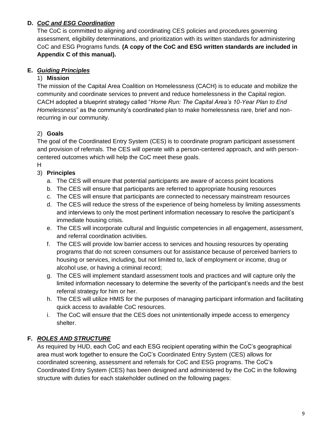# **D.** *CoC and ESG Coordination*

The CoC is committed to aligning and coordinating CES policies and procedures governing assessment, eligibility determinations, and prioritization with its written standards for administering CoC and ESG Programs funds. **(A copy of the CoC and ESG written standards are included in Appendix C of this manual).**

# **E.** *Guiding Principles*

# 1) **Mission**

The mission of the Capital Area Coalition on Homelessness (CACH) is to educate and mobilize the community and coordinate services to prevent and reduce homelessness in the Capital region. CACH adopted a blueprint strategy called "*Home Run: The Capital Area's 10-Year Plan to End Homelessness*" as the community's coordinated plan to make homelessness rare, brief and nonrecurring in our community.

# 2) **Goals**

The goal of the Coordinated Entry System (CES) is to coordinate program participant assessment and provision of referrals. The CES will operate with a person-centered approach, and with personcentered outcomes which will help the CoC meet these goals.

H

# 3) **Principles**

- a. The CES will ensure that potential participants are aware of access point locations
- b. The CES will ensure that participants are referred to appropriate housing resources
- c. The CES will ensure that participants are connected to necessary mainstream resources
- d. The CES will reduce the stress of the experience of being homeless by limiting assessments and interviews to only the most pertinent information necessary to resolve the participant's immediate housing crisis.
- e. The CES will incorporate cultural and linguistic competencies in all engagement, assessment, and referral coordination activities.
- f. The CES will provide low barrier access to services and housing resources by operating programs that do not screen consumers out for assistance because of perceived barriers to housing or services, including, but not limited to, lack of employment or income, drug or alcohol use, or having a criminal record;
- g. The CES will implement standard assessment tools and practices and will capture only the limited information necessary to determine the severity of the participant's needs and the best referral strategy for him or her.
- h. The CES will utilize HMIS for the purposes of managing participant information and facilitating quick access to available CoC resources.
- i. The CoC will ensure that the CES does not unintentionally impede access to emergency shelter.

# **F.** *ROLES AND STRUCTURE*

As required by HUD, each CoC and each ESG recipient operating within the CoC's geographical area must work together to ensure the CoC's Coordinated Entry System (CES) allows for coordinated screening, assessment and referrals for CoC and ESG programs. The CoC's Coordinated Entry System (CES) has been designed and administered by the CoC in the following structure with duties for each stakeholder outlined on the following pages: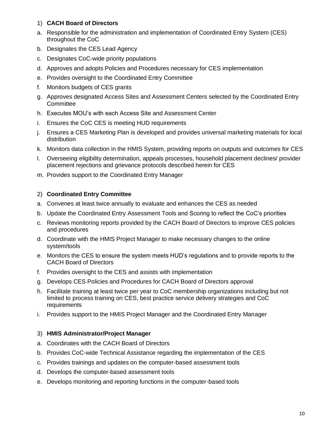#### 1) **CACH Board of Directors**

- a. Responsible for the administration and implementation of Coordinated Entry System (CES) throughout the CoC
- b. Designates the CES Lead Agency
- c. Designates CoC-wide priority populations
- d. Approves and adopts Policies and Procedures necessary for CES implementation
- e. Provides oversight to the Coordinated Entry Committee
- f. Monitors budgets of CES grants
- g. Approves designated Access Sites and Assessment Centers selected by the Coordinated Entry **Committee**
- h. Executes MOU's with each Access Site and Assessment Center
- i. Ensures the CoC CES is meeting HUD requirements
- j. Ensures a CES Marketing Plan is developed and provides universal marketing materials for local distribution
- k. Monitors data collection in the HMIS System, providing reports on outputs and outcomes for CES
- l. Overseeing eligibility determination, appeals processes, household placement declines/ provider placement rejections and grievance protocols described herein for CES
- m. Provides support to the Coordinated Entry Manager

#### 2) **Coordinated Entry Committee**

- a. Convenes at least twice annually to evaluate and enhances the CES as needed
- b. Update the Coordinated Entry Assessment Tools and Scoring to reflect the CoC's priorities
- c. Reviews monitoring reports provided by the CACH Board of Directors to improve CES policies and procedures
- d. Coordinate with the HMIS Project Manager to make necessary changes to the online system/tools
- e. Monitors the CES to ensure the system meets HUD's regulations and to provide reports to the CACH Board of Directors
- f. Provides oversight to the CES and assists with implementation
- g. Develops CES Policies and Procedures for CACH Board of Directors approval
- h. Facilitate training at least twice per year to CoC membership organizations including but not limited to process training on CES, best practice service delivery strategies and CoC requirements
- i. Provides support to the HMIS Project Manager and the Coordinated Entry Manager

#### 3) **HMIS Administrator/Project Manager**

- a. Coordinates with the CACH Board of Directors
- b. Provides CoC-wide Technical Assistance regarding the implementation of the CES
- c. Provides trainings and updates on the computer-based assessment tools
- d. Develops the computer-based assessment tools
- e. Develops monitoring and reporting functions in the computer-based tools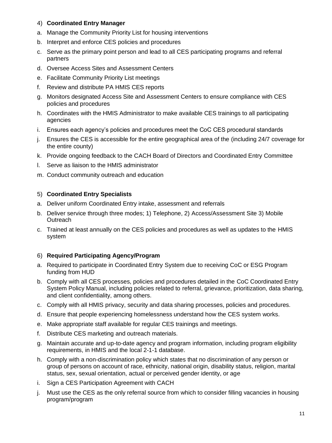#### 4) **Coordinated Entry Manager**

- a. Manage the Community Priority List for housing interventions
- b. Interpret and enforce CES policies and procedures
- c. Serve as the primary point person and lead to all CES participating programs and referral partners
- d. Oversee Access Sites and Assessment Centers
- e. Facilitate Community Priority List meetings
- f. Review and distribute PA HMIS CES reports
- g. Monitors designated Access Site and Assessment Centers to ensure compliance with CES policies and procedures
- h. Coordinates with the HMIS Administrator to make available CES trainings to all participating agencies
- i. Ensures each agency's policies and procedures meet the CoC CES procedural standards
- j. Ensures the CES is accessible for the entire geographical area of the (including 24/7 coverage for the entire county)
- k. Provide ongoing feedback to the CACH Board of Directors and Coordinated Entry Committee
- l. Serve as liaison to the HMIS administrator
- m. Conduct community outreach and education

#### 5) **Coordinated Entry Specialists**

- a. Deliver uniform Coordinated Entry intake, assessment and referrals
- b. Deliver service through three modes; 1) Telephone, 2) Access/Assessment Site 3) Mobile **Outreach**
- c. Trained at least annually on the CES policies and procedures as well as updates to the HMIS system

# 6) **Required Participating Agency/Program**

- a. Required to participate in Coordinated Entry System due to receiving CoC or ESG Program funding from HUD
- b. Comply with all CES processes, policies and procedures detailed in the CoC Coordinated Entry System Policy Manual, including policies related to referral, grievance, prioritization, data sharing, and client confidentiality, among others.
- c. Comply with all HMIS privacy, security and data sharing processes, policies and procedures.
- d. Ensure that people experiencing homelessness understand how the CES system works.
- e. Make appropriate staff available for regular CES trainings and meetings.
- f. Distribute CES marketing and outreach materials.
- g. Maintain accurate and up-to-date agency and program information, including program eligibility requirements, in HMIS and the local 2-1-1 database.
- h. Comply with a non-discrimination policy which states that no discrimination of any person or group of persons on account of race, ethnicity, national origin, disability status, religion, marital status, sex, sexual orientation, actual or perceived gender identity, or age
- i. Sign a CES Participation Agreement with CACH
- j. Must use the CES as the only referral source from which to consider filling vacancies in housing program/program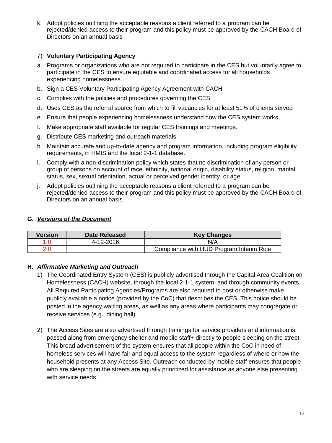k. Adopt policies outlining the acceptable reasons a client referred to a program can be rejected/denied access to their program and this policy must be approved by the CACH Board of Directors on an annual basis

#### 7) **Voluntary Participating Agency**

- a. Programs or organizations who are not required to participate in the CES but voluntarily agree to participate in the CES to ensure equitable and coordinated access for all households experiencing homelessness
- b. Sign a CES Voluntary Participating Agency Agreement with CACH
- c. Complies with the policies and procedures governing the CES
- d. Uses CES as the referral source from which to fill vacancies for at least 51% of clients served
- e. Ensure that people experiencing homelessness understand how the CES system works.
- f. Make appropriate staff available for regular CES trainings and meetings.
- g. Distribute CES marketing and outreach materials.
- h. Maintain accurate and up-to-date agency and program information, including program eligibility requirements, in HMIS and the local 2-1-1 database.
- i. Comply with a non-discrimination policy which states that no discrimination of any person or group of persons on account of race, ethnicity, national origin, disability status, religion, marital status, sex, sexual orientation, actual or perceived gender identity, or age
- j. Adopt policies outlining the acceptable reasons a client referred to a program can be rejected/denied access to their program and this policy must be approved by the CACH Board of Directors on an annual basis

## **G.** *Versions of the Document*

| Version | Date Released | <b>Key Changes</b>                       |
|---------|---------------|------------------------------------------|
|         | 4-12-2016     | N/A                                      |
|         |               | Compliance with HUD Program Interim Rule |

# **H.** *Affirmative Marketing and Outreach*

- 1) The Coordinated Entry System (CES) is publicly advertised through the Capital Area Coalition on Homelessness (CACH) website, through the local 2-1-1 system, and through community events. All Required Participating Agencies/Programs are also required to post or otherwise make publicly available a notice (provided by the CoC) that describes the CES. This notice should be posted in the agency waiting areas, as well as any areas where participants may congregate or receive services (e.g., dining hall).
- 2) The Access Sites are also advertised through trainings for service providers and information is passed along from emergency shelter and mobile staff+ directly to people sleeping on the street. This broad advertisement of the system ensures that all people within the CoC in need of homeless services will have fair and equal access to the system regardless of where or how the household presents at any Access Site. Outreach conducted by mobile staff ensures that people who are sleeping on the streets are equally prioritized for assistance as anyone else presenting with service needs.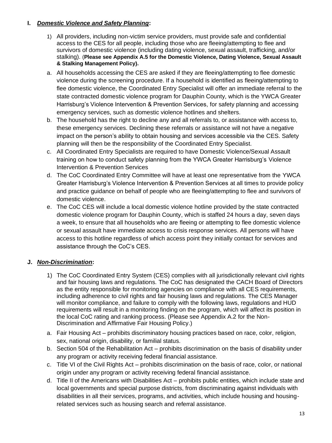## **I.** *Domestic Violence and Safety Planning***:**

- 1) All providers, including non-victim service providers, must provide safe and confidential access to the CES for all people, including those who are fleeing/attempting to flee and survivors of domestic violence (including dating violence, sexual assault, trafficking, and/or stalking). (**Please see Appendix A.5 for the Domestic Violence, Dating Violence, Sexual Assault & Stalking Management Policy).**
- a. All households accessing the CES are asked if they are fleeing/attempting to flee domestic violence during the screening procedure. If a household is identified as fleeing/attempting to flee domestic violence, the Coordinated Entry Specialist will offer an immediate referral to the state contracted domestic violence program for Dauphin County, which is the YWCA Greater Harrisburg's Violence Intervention & Prevention Services, for safety planning and accessing emergency services, such as domestic violence hotlines and shelters.
- b. The household has the right to decline any and all referrals to, or assistance with access to, these emergency services. Declining these referrals or assistance will not have a negative impact on the person's ability to obtain housing and services accessible via the CES. Safety planning will then be the responsibility of the Coordinated Entry Specialist.
- c. All Coordinated Entry Specialists are required to have Domestic Violence/Sexual Assault training on how to conduct safety planning from the YWCA Greater Harrisburg's Violence Intervention & Prevention Services
- d. The CoC Coordinated Entry Committee will have at least one representative from the YWCA Greater Harrisburg's Violence Intervention & Prevention Services at all times to provide policy and practice guidance on behalf of people who are fleeing/attempting to flee and survivors of domestic violence.
- e. The CoC CES will include a local domestic violence hotline provided by the state contracted domestic violence program for Dauphin County, which is staffed 24 hours a day, seven days a week, to ensure that all households who are fleeing or attempting to flee domestic violence or sexual assault have immediate access to crisis response services. All persons will have access to this hotline regardless of which access point they initially contact for services and assistance through the CoC's CES.

# **J.** *Non-Discrimination***:**

- 1) The CoC Coordinated Entry System (CES) complies with all jurisdictionally relevant civil rights and fair housing laws and regulations. The CoC has designated the CACH Board of Directors as the entity responsible for monitoring agencies on compliance with all CES requirements, including adherence to civil rights and fair housing laws and regulations. The CES Manager will monitor compliance, and failure to comply with the following laws, regulations and HUD requirements will result in a monitoring finding on the program, which will affect its position in the local CoC rating and ranking process. (Please see Appendix A.2 for the Non-Discrimination and Affirmative Fair Housing Policy.)
- a. Fair Housing Act prohibits discriminatory housing practices based on race, color, religion, sex, national origin, disability, or familial status.
- b. Section 504 of the Rehabilitation Act prohibits discrimination on the basis of disability under any program or activity receiving federal financial assistance.
- c. Title VI of the Civil Rights Act prohibits discrimination on the basis of race, color, or national origin under any program or activity receiving federal financial assistance.
- d. Title II of the Americans with Disabilities Act prohibits public entities, which include state and local governments and special purpose districts, from discriminating against individuals with disabilities in all their services, programs, and activities, which include housing and housingrelated services such as housing search and referral assistance.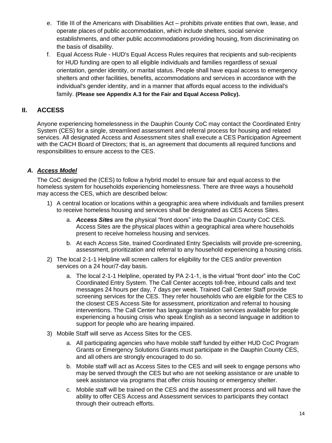- e. Title III of the Americans with Disabilities Act prohibits private entities that own, lease, and operate places of public accommodation, which include shelters, social service establishments, and other public accommodations providing housing, from discriminating on the basis of disability.
- f. Equal Access Rule HUD's Equal Access Rules requires that recipients and sub-recipients for HUD funding are open to all eligible individuals and families regardless of sexual orientation, gender identity, or marital status. People shall have equal access to emergency shelters and other facilities, benefits, accommodations and services in accordance with the individual's gender identity, and in a manner that affords equal access to the individual's family. **(Please see Appendix A.3 for the Fair and Equal Access Policy).**

# **II. ACCESS**

Anyone experiencing homelessness in the Dauphin County CoC may contact the Coordinated Entry System (CES) for a single, streamlined assessment and referral process for housing and related services. All designated Access and Assessment sites shall execute a CES Participation Agreement with the CACH Board of Directors; that is, an agreement that documents all required functions and responsibilities to ensure access to the CES.

# *A. Access Model*

The CoC designed the (CES) to follow a hybrid model to ensure fair and equal access to the homeless system for households experiencing homelessness. There are three ways a household may access the CES, which are described below:

- 1) A central location or locations within a geographic area where individuals and families present to receive homeless housing and services shall be designated as CES Access Sites.
	- a. *Access Sites* are the physical "front doors" into the Dauphin County CoC CES. Access Sites are the physical places within a geographical area where households present to receive homeless housing and services.
	- b. At each Access Site, trained Coordinated Entry Specialists will provide pre-screening, assessment, prioritization and referral to any household experiencing a housing crisis.
- 2) The local 2-1-1 Helpline will screen callers for eligibility for the CES and/or prevention services on a 24 hour/7-day basis.
	- a. The local 2-1-1 Helpline, operated by PA 2-1-1, is the virtual "front door" into the CoC Coordinated Entry System. The Call Center accepts toll-free, inbound calls and text messages 24 hours per day, 7 days per week. Trained Call Center Staff provide screening services for the CES. They refer households who are eligible for the CES to the closest CES Access Site for assessment, prioritization and referral to housing interventions. The Call Center has language translation services available for people experiencing a housing crisis who speak English as a second language in addition to support for people who are hearing impaired.
- 3) Mobile Staff will serve as Access Sites for the CES.
	- a. All participating agencies who have mobile staff funded by either HUD CoC Program Grants or Emergency Solutions Grants must participate in the Dauphin County CES, and all others are strongly encouraged to do so.
	- b. Mobile staff will act as Access Sites to the CES and will seek to engage persons who may be served through the CES but who are not seeking assistance or are unable to seek assistance via programs that offer crisis housing or emergency shelter.
	- c. Mobile staff will be trained on the CES and the assessment process and will have the ability to offer CES Access and Assessment services to participants they contact through their outreach efforts.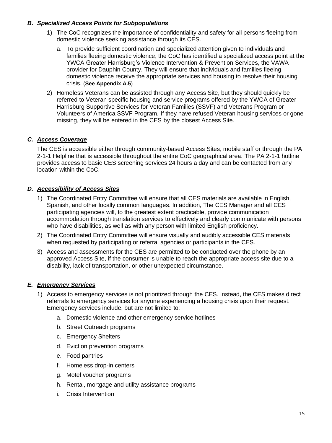# *B. Specialized Access Points for Subpopulations*

- 1) The CoC recognizes the importance of confidentiality and safety for all persons fleeing from domestic violence seeking assistance through its CES.
	- a. To provide sufficient coordination and specialized attention given to individuals and families fleeing domestic violence, the CoC has identified a specialized access point at the YWCA Greater Harrisburg's Violence Intervention & Prevention Services, the VAWA provider for Dauphin County. They will ensure that individuals and families fleeing domestic violence receive the appropriate services and housing to resolve their housing crisis. (**See Appendix A.5**)
- 2) Homeless Veterans can be assisted through any Access Site, but they should quickly be referred to Veteran specific housing and service programs offered by the YWCA of Greater Harrisburg Supportive Services for Veteran Families (SSVF) and Veterans Program or Volunteers of America SSVF Program. If they have refused Veteran housing services or gone missing, they will be entered in the CES by the closest Access Site.

#### *C. Access Coverage*

The CES is accessible either through community-based Access Sites, mobile staff or through the PA 2-1-1 Helpline that is accessible throughout the entire CoC geographical area. The PA 2-1-1 hotline provides access to basic CES screening services 24 hours a day and can be contacted from any location within the CoC.

#### *D. Accessibility of Access Sites*

- 1) The Coordinated Entry Committee will ensure that all CES materials are available in English, Spanish, and other locally common languages. In addition, The CES Manager and all CES participating agencies will, to the greatest extent practicable, provide communication accommodation through translation services to effectively and clearly communicate with persons who have disabilities, as well as with any person with limited English proficiency.
- 2) The Coordinated Entry Committee will ensure visually and audibly accessible CES materials when requested by participating or referral agencies or participants in the CES.
- 3) Access and assessments for the CES are permitted to be conducted over the phone by an approved Access Site, if the consumer is unable to reach the appropriate access site due to a disability, lack of transportation, or other unexpected circumstance.

#### *E. Emergency Services*

- 1) Access to emergency services is not prioritized through the CES. Instead, the CES makes direct referrals to emergency services for anyone experiencing a housing crisis upon their request. Emergency services include, but are not limited to:
	- a. Domestic violence and other emergency service hotlines
	- b. Street Outreach programs
	- c. Emergency Shelters
	- d. Eviction prevention programs
	- e. Food pantries
	- f. Homeless drop-in centers
	- g. Motel voucher programs
	- h. Rental, mortgage and utility assistance programs
	- i. Crisis Intervention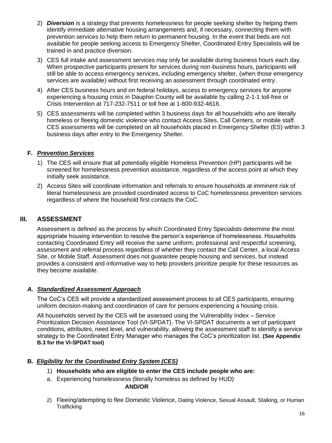- 2) *Diversion* is a strategy that prevents homelessness for people seeking shelter by helping them identify immediate alternative housing arrangements and, if necessary, connecting them with prevention services to help them return to permanent housing. In the event that beds are not available for people seeking access to Emergency Shelter, Coordinated Entry Specialists will be trained in and practice diversion.
- 3) CES full intake and assessment services may only be available during business hours each day. When prospective participants present for services during non-business hours, participants will still be able to access emergency services, including emergency shelter, (when those emergency services are available) without first receiving an assessment through coordinated entry.
- 4) After CES business hours and on federal holidays, access to emergency services for anyone experiencing a housing crisis in Dauphin County will be available by calling 2-1-1 toll-free or Crisis Intervention at 717-232-7511 or toll free at 1-800-932-4616.
- 5) CES assessments will be completed within 3 business days for all households who are literally homeless or fleeing domestic violence who contact Access Sites, Call Centers, or mobile staff. CES assessments will be completed on all households placed in Emergency Shelter (ES) within 3 business days after entry to the Emergency Shelter.

#### **F.** *Prevention Services*

- 1) The CES will ensure that all potentially eligible Homeless Prevention (HP) participants will be screened for homelessness prevention assistance, regardless of the access point at which they initially seek assistance.
- 2) Access Sites will coordinate information and referrals to ensure households at imminent risk of literal homelessness are provided coordinated access to CoC homelessness prevention services regardless of where the household first contacts the CoC.

# **III. ASSESSMENT**

Assessment is defined as the process by which Coordinated Entry Specialists determine the most appropriate housing intervention to resolve the person's experience of homelessness. Households contacting Coordinated Entry will receive the same uniform, professional and respectful screening, assessment and referral process regardless of whether they contact the Call Center, a local Access Site, or Mobile Staff. Assessment does not guarantee people housing and services, but instead provides a consistent and informative way to help providers prioritize people for these resources as they become available.

#### *A. Standardized Assessment Approach*

The CoC's CES will provide a standardized assessment process to all CES participants, ensuring uniform decision-making and coordination of care for persons experiencing a housing crisis.

All households served by the CES will be assessed using the Vulnerability Index – Service Prioritization Decision Assistance Tool (VI-SPDAT). The VI-SPDAT documents a set of participant conditions, attributes, need level, and vulnerability, allowing the assessment staff to identify a service strategy to the Coordinated Entry Manager who manages the CoC's prioritization list. **(See Appendix B.3 for the VI-SPDAT tool)**

# **B.** *Eligibility for the Coordinated Entry System (CES)*

- 1) **Households who are eligible to enter the CES include people who are:**
- a. Experiencing homelessness (literally homeless as defined by HUD)

#### **AND/OR**

2) Fleeing/attempting to flee Domestic Violence, Dating Violence, Sexual Assault, Stalking, or Human **Trafficking**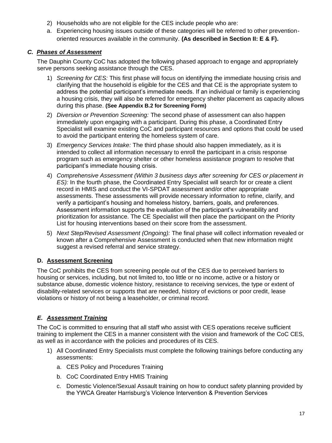- 2) Households who are not eligible for the CES include people who are:
- a. Experiencing housing issues outside of these categories will be referred to other preventionoriented resources available in the community. **(As described in Section II: E & F).**

# *C. Phases of Assessment*

The Dauphin County CoC has adopted the following phased approach to engage and appropriately serve persons seeking assistance through the CES.

- 1) *Screening for CES:* This first phase will focus on identifying the immediate housing crisis and clarifying that the household is eligible for the CES and that CE is the appropriate system to address the potential participant's immediate needs. If an individual or family is experiencing a housing crisis, they will also be referred for emergency shelter placement as capacity allows during this phase. **(See Appendix B.2 for Screening Form)**
- 2) *Diversion or Prevention Screening:* The second phase of assessment can also happen immediately upon engaging with a participant. During this phase, a Coordinated Entry Specialist will examine existing CoC and participant resources and options that could be used to avoid the participant entering the homeless system of care.
- 3) *Emergency Services Intake:* The third phase should also happen immediately, as it is intended to collect all information necessary to enroll the participant in a crisis response program such as emergency shelter or other homeless assistance program to resolve that participant's immediate housing crisis.
- 4) *Comprehensive Assessment (Within 3 business days after screening for CES or placement in ES):* In the fourth phase, the Coordinated Entry Specialist will search for or create a client record in HMIS and conduct the VI-SPDAT assessment and/or other appropriate assessments. These assessments will provide necessary information to refine, clarify, and verify a participant's housing and homeless history, barriers, goals, and preferences. Assessment information supports the evaluation of the participant's vulnerability and prioritization for assistance. The CE Specialist will then place the participant on the Priority List for housing interventions based on their score from the assessment.
- 5) *Next Step/Revised Assessment (Ongoing):* The final phase will collect information revealed or known after a Comprehensive Assessment is conducted when that new information might suggest a revised referral and service strategy.

# **D. Assessment Screening**

The CoC prohibits the CES from screening people out of the CES due to perceived barriers to housing or services, including, but not limited to, too little or no income, active or a history or substance abuse, domestic violence history, resistance to receiving services, the type or extent of disability-related services or supports that are needed, history of evictions or poor credit, lease violations or history of not being a leaseholder, or criminal record.

# *E. Assessment Training*

The CoC is committed to ensuring that all staff who assist with CES operations receive sufficient training to implement the CES in a manner consistent with the vision and framework of the CoC CES, as well as in accordance with the policies and procedures of its CES.

- 1) All Coordinated Entry Specialists must complete the following trainings before conducting any assessments:
	- a. CES Policy and Procedures Training
	- b. CoC Coordinated Entry HMIS Training
	- c. Domestic Violence/Sexual Assault training on how to conduct safety planning provided by the YWCA Greater Harrisburg's Violence Intervention & Prevention Services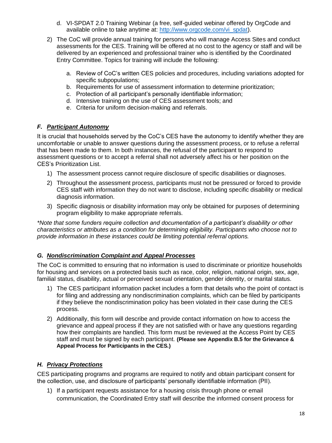- d. VI-SPDAT 2.0 Training Webinar (a free, self-guided webinar offered by OrgCode and available online to take anytime at: [http://www.orgcode.com/vi\\_spdat\)](http://www.orgcode.com/vi_spdat).
- 2) The CoC will provide annual training for persons who will manage Access Sites and conduct assessments for the CES. Training will be offered at no cost to the agency or staff and will be delivered by an experienced and professional trainer who is identified by the Coordinated Entry Committee. Topics for training will include the following:
	- a. Review of CoC's written CES policies and procedures, including variations adopted for specific subpopulations;
	- b. Requirements for use of assessment information to determine prioritization;
	- c. Protection of all participant's personally identifiable information;
	- d. Intensive training on the use of CES assessment tools; and
	- e. Criteria for uniform decision-making and referrals.

#### *F. Participant Autonomy*

It is crucial that households served by the CoC's CES have the autonomy to identify whether they are uncomfortable or unable to answer questions during the assessment process, or to refuse a referral that has been made to them. In both instances, the refusal of the participant to respond to assessment questions or to accept a referral shall not adversely affect his or her position on the CES's Prioritization List.

- 1) The assessment process cannot require disclosure of specific disabilities or diagnoses.
- 2) Throughout the assessment process, participants must not be pressured or forced to provide CES staff with information they do not want to disclose, including specific disability or medical diagnosis information.
- 3) Specific diagnosis or disability information may only be obtained for purposes of determining program eligibility to make appropriate referrals.

*\*Note that some funders require collection and documentation of a participant's disability or other characteristics or attributes as a condition for determining eligibility. Participants who choose not to provide information in these instances could be limiting potential referral options.*

#### *G. Nondiscrimination Complaint and Appeal Processes*

The CoC is committed to ensuring that no information is used to discriminate or prioritize households for housing and services on a protected basis such as race, color, religion, national origin, sex, age, familial status, disability, actual or perceived sexual orientation, gender identity, or marital status.

- 1) The CES participant information packet includes a form that details who the point of contact is for filing and addressing any nondiscrimination complaints, which can be filed by participants if they believe the nondiscrimination policy has been violated in their case during the CES process.
- 2) Additionally, this form will describe and provide contact information on how to access the grievance and appeal process if they are not satisfied with or have any questions regarding how their complaints are handled. This form must be reviewed at the Access Point by CES staff and must be signed by each participant. **(Please see Appendix B.5 for the Grievance & Appeal Process for Participants in the CES.)**

#### *H. Privacy Protections*

CES participating programs and programs are required to notify and obtain participant consent for the collection, use, and disclosure of participants' personally identifiable information (PII).

1) If a participant requests assistance for a housing crisis through phone or email communication, the Coordinated Entry staff will describe the informed consent process for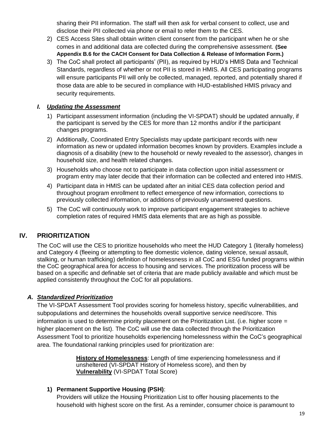sharing their PII information. The staff will then ask for verbal consent to collect, use and disclose their PII collected via phone or email to refer them to the CES.

- 2) CES Access Sites shall obtain written client consent from the participant when he or she comes in and additional data are collected during the comprehensive assessment. **(See Appendix B.6 for the CACH Consent for Data Collection & Release of Information Form.)**
- 3) The CoC shall protect all participants' (PII), as required by HUD's HMIS Data and Technical Standards, regardless of whether or not PII is stored in HMIS. All CES participating programs will ensure participants PII will only be collected, managed, reported, and potentially shared if those data are able to be secured in compliance with HUD-established HMIS privacy and security requirements.

#### *I. Updating the Assessment*

- 1) Participant assessment information (including the VI-SPDAT) should be updated annually, if the participant is served by the CES for more than 12 months and/or if the participant changes programs.
- 2) Additionally, Coordinated Entry Specialists may update participant records with new information as new or updated information becomes known by providers. Examples include a diagnosis of a disability (new to the household or newly revealed to the assessor), changes in household size, and health related changes.
- 3) Households who choose not to participate in data collection upon initial assessment or program entry may later decide that their information can be collected and entered into HMIS.
- 4) Participant data in HMIS can be updated after an initial CES data collection period and throughout program enrollment to reflect emergence of new information, corrections to previously collected information, or additions of previously unanswered questions.
- 5) The CoC will continuously work to improve participant engagement strategies to achieve completion rates of required HMIS data elements that are as high as possible.

# **IV. PRIORITIZATION**

The CoC will use the CES to prioritize households who meet the HUD Category 1 (literally homeless) and Category 4 (fleeing or attempting to flee domestic violence, dating violence, sexual assault, stalking, or human trafficking) definition of homelessness in all CoC and ESG funded programs within the CoC geographical area for access to housing and services. The prioritization process will be based on a specific and definable set of criteria that are made publicly available and which must be applied consistently throughout the CoC for all populations.

#### *A. Standardized Prioritization*

The VI-SPDAT Assessment Tool provides scoring for homeless history, specific vulnerabilities, and subpopulations and determines the households overall supportive service need/score. This information is used to determine priority placement on the Prioritization List. (i.e. higher score = higher placement on the list). The CoC will use the data collected through the Prioritization Assessment Tool to prioritize households experiencing homelessness within the CoC's geographical area. The foundational ranking principles used for prioritization are:

> **History of Homelessness**: Length of time experiencing homelessness and if unsheltered (VI-SPDAT History of Homeless score), and then by **Vulnerability** (VI-SPDAT Total Score)

#### **1) Permanent Supportive Housing (PSH)**:

Providers will utilize the Housing Prioritization List to offer housing placements to the household with highest score on the first. As a reminder, consumer choice is paramount to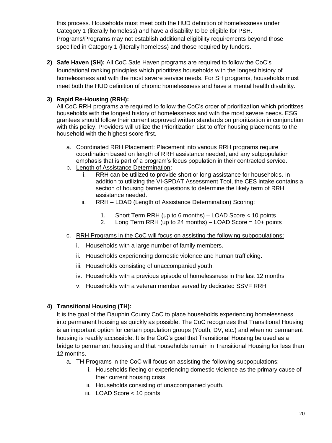this process. Households must meet both the HUD definition of homelessness under Category 1 (literally homeless) and have a disability to be eligible for PSH. Programs/Programs may not establish additional eligibility requirements beyond those specified in Category 1 (literally homeless) and those required by funders.

**2) Safe Haven (SH):** All CoC Safe Haven programs are required to follow the CoC's foundational ranking principles which prioritizes households with the longest history of homelessness and with the most severe service needs. For SH programs, households must meet both the HUD definition of chronic homelessness and have a mental health disability.

# **3) Rapid Re-Housing (RRH):**

All CoC RRH programs are required to follow the CoC's order of prioritization which prioritizes households with the longest history of homelessness and with the most severe needs. ESG grantees should follow their current approved written standards on prioritization in conjunction with this policy. Providers will utilize the Prioritization List to offer housing placements to the household with the highest score first.

- a. Coordinated RRH Placement: Placement into various RRH programs require coordination based on length of RRH assistance needed, and any subpopulation emphasis that is part of a program's focus population in their contracted service.
- b. Length of Assistance Determination:
	- i. RRH can be utilized to provide short or long assistance for households. In addition to utilizing the VI-SPDAT Assessment Tool, the CES intake contains a section of housing barrier questions to determine the likely term of RRH assistance needed.
	- ii. RRH LOAD (Length of Assistance Determination) Scoring:
		- 1. Short Term RRH (up to 6 months) LOAD Score < 10 points
		- 2. Long Term RRH (up to 24 months) LOAD Score = 10+ points
- c. RRH Programs in the CoC will focus on assisting the following subpopulations:
	- i. Households with a large number of family members.
	- ii. Households experiencing domestic violence and human trafficking.
	- iii. Households consisting of unaccompanied youth.
	- iv. Households with a previous episode of homelessness in the last 12 months
	- v. Households with a veteran member served by dedicated SSVF RRH

# **4) Transitional Housing (TH):**

It is the goal of the Dauphin County CoC to place households experiencing homelessness into permanent housing as quickly as possible. The CoC recognizes that Transitional Housing is an important option for certain population groups (Youth, DV, etc.) and when no permanent housing is readily accessible. It is the CoC's goal that Transitional Housing be used as a bridge to permanent housing and that households remain in Transitional Housing for less than 12 months.

- a. TH Programs in the CoC will focus on assisting the following subpopulations:
	- i. Households fleeing or experiencing domestic violence as the primary cause of their current housing crisis.
	- ii. Households consisting of unaccompanied youth.
	- iii. LOAD Score < 10 points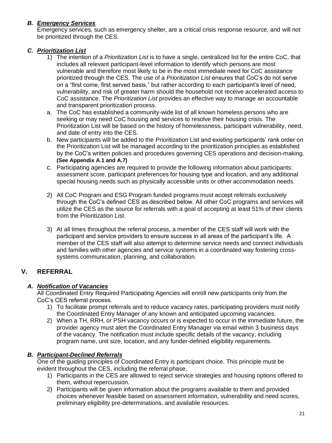# *B. Emergency Services*

Emergency services, such as emergency shelter, are a critical crisis response resource, and will not be prioritized through the CES.

# *C. Prioritization List*

- 1) The intention of a *Prioritization List* is to have a single, centralized list for the entire CoC, that includes all relevant participant-level information to identify which persons are most vulnerable and therefore most likely to be in the most immediate need for CoC assistance prioritized through the CES. The use of a *Prioritization List* ensures that CoC's do not serve on a "first come, first served basis," but rather according to each participant's level of need, vulnerability, and risk of greater harm should the household not receive accelerated access to CoC assistance. The *Prioritization List* provides an effective way to manage an accountable and transparent prioritization process.
- a. The CoC has established a community-wide list of all known homeless persons who are seeking or may need CoC housing and services to resolve their housing crisis. The Prioritization List will be based on the history of homelessness, participant vulnerability, need, and date of entry into the CES.
- b. New participants will be added to the Prioritization List and existing participants' rank order on the Prioritization List will be managed according to the prioritization principles as established by the CoC's written policies and procedures governing CES operations and decision-making. **(See Appendix A.1 and A.7)**
- c. Participating agencies are required to provide the following information about participants: assessment score, participant preferences for housing type and location, and any additional special housing needs such as physically accessible units or other accommodation needs.
- 2) All CoC Program and ESG Program funded programs must accept referrals exclusively through the CoC's defined CES as described below. All other CoC programs and services will utilize the CES as the source for referrals with a goal of accepting at least 51% of their clients from the Prioritization List.
- 3) At all times throughout the referral process, a member of the CES staff will work with the participant and service providers to ensure success in all areas of the participant's life. A member of the CES staff will also attempt to determine service needs and connect individuals and families with other agencies and service systems in a coordinated way fostering crosssystems communication, planning, and collaboration.

# **V. REFERRAL**

# *A. Notification of Vacancies*

All Coordinated Entry Required Participating Agencies will enroll new participants only from the CoC's CES referral process.

- 1) To facilitate prompt referrals and to reduce vacancy rates, participating providers must notify the Coordinated Entry Manager of any known and anticipated upcoming vacancies.
- 2) When a TH, RRH, or PSH vacancy occurs or is expected to occur in the immediate future, the provider agency must alert the Coordinated Entry Manager via email within 3 business days of the vacancy. The notification must include specific details of the vacancy, including program name, unit size, location, and any funder-defined eligibility requirements.

# *B. Participant-Declined Referrals*

One of the guiding principles of Coordinated Entry is participant choice. This principle must be evident throughout the CES, including the referral phase.

- 1) Participants in the CES are allowed to reject service strategies and housing options offered to them, without repercussion.
- 2) Participants will be given information about the programs available to them and provided choices whenever feasible based on assessment information, vulnerability and need scores, preliminary eligibility pre-determinations, and available resources.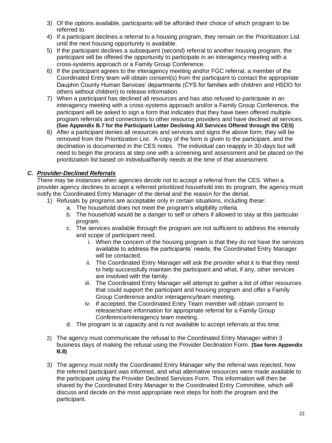- 3) Of the options available, participants will be afforded their choice of which program to be referred to.
- 4) If a participant declines a referral to a housing program, they remain on the Prioritization List until the next housing opportunity is available.
- 5) If the participant declines a subsequent (second) referral to another housing program, the participant will be offered the opportunity to participate in an interagency meeting with a cross-systems approach or a Family Group Conference.
- 6) If the participant agrees to the interagency meeting and/or FGC referral, a member of the Coordinated Entry team will obtain consent(s) from the participant to contact the appropriate Dauphin County Human Services' departments (CYS for families with children and HSDO for others without children) to release information.
- 7) When a participant has declined all resources and has also refused to participate in an interagency meeting with a cross-systems approach and/or a Family Group Conference, the participant will be asked to sign a form that indicates that they have been offered multiple program referrals and connections to other resource providers and have declined all services. **(See Appendix B.7 for the Participant Letter Declining All Services Offered through the CES)**
- 8) After a participant denies all resources and services and signs the above form, they will be removed from the Prioritization List. A copy of the form is given to the participant, and the declination is documented in the CES notes. The individual can reapply in 30-days but will need to begin the process at step one with a screening and assessment and be placed on the prioritization list based on individual/family needs at the time of *that* assessment.

# *C. Provider-Declined Referrals*

There may be instances when agencies decide not to accept a referral from the CES. When a provider agency declines to accept a referred prioritized household into its program, the agency must notify the Coordinated Entry Manager of the denial and the reason for the denial.

- 1) Refusals by programs are acceptable only in certain situations, including these:
	- a. The household does not meet the program's eligibility criteria.
	- b. The household would be a danger to self or others if allowed to stay at this particular program.
	- c. The services available through the program are not sufficient to address the intensity and scope of participant need.
		- i. When the concern of the housing program is that they do not have the services available to address the participants' needs, the Coordinated Entry Manager will be contacted.
		- ii. The Coordinated Entry Manager will ask the provider what it is that they need to help successfully maintain the participant and what, if any, other services are involved with the family.
		- iii. The Coordinated Entry Manager will attempt to gather a list of other resources that could support the participant and housing program and offer a Family Group Conference and/or interagency/team meeting.
		- iv. If accepted, the Coordinated Entry Team member will obtain consent to release/share information for appropriate referral for a Family Group Conference/interagency team meeting.
	- d. The program is at capacity and is not available to accept referrals at this time.
- 2) The agency must communicate the refusal to the Coordinated Entry Manager within 3 business days of making the refusal using the Provider Declination Form. **(See form Appendix B.8)**
- 3) The agency must notify the Coordinated Entry Manager why the referral was rejected, how the referred participant was informed, and what alternative resources were made available to the participant using the Provider Declined Services Form. This information will then be shared by the Coordinated Entry Manager to the Coordinated Entry Committee, which will discuss and decide on the most appropriate next steps for both the program and the participant.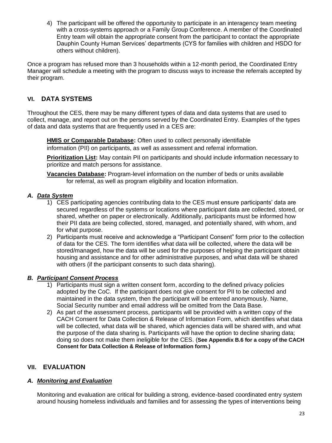4) The participant will be offered the opportunity to participate in an interagency team meeting with a cross-systems approach or a Family Group Conference. A member of the Coordinated Entry team will obtain the appropriate consent from the participant to contact the appropriate Dauphin County Human Services' departments (CYS for families with children and HSDO for others without children).

Once a program has refused more than 3 households within a 12-month period, the Coordinated Entry Manager will schedule a meeting with the program to discuss ways to increase the referrals accepted by their program.

# **VI. DATA SYSTEMS**

Throughout the CES, there may be many different types of data and data systems that are used to collect, manage, and report out on the persons served by the Coordinated Entry. Examples of the types of data and data systems that are frequently used in a CES are:

**HMIS or Comparable Database:** Often used to collect personally identifiable

information (PII) on participants, as well as assessment and referral information.

**Prioritization List:** May contain PII on participants and should include information necessary to prioritize and match persons for assistance.

**Vacancies Database:** Program-level information on the number of beds or units available for referral, as well as program eligibility and location information.

#### *A. Data System*

- 1) CES participating agencies contributing data to the CES must ensure participants' data are secured regardless of the systems or locations where participant data are collected, stored, or shared, whether on paper or electronically. Additionally, participants must be informed how their PII data are being collected, stored, managed, and potentially shared, with whom, and for what purpose.
- 2) Participants must receive and acknowledge a "Participant Consent" form prior to the collection of data for the CES. The form identifies what data will be collected, where the data will be stored/managed, how the data will be used for the purposes of helping the participant obtain housing and assistance and for other administrative purposes, and what data will be shared with others (if the participant consents to such data sharing).

# *B. Participant Consent Process*

- 1) Participants must sign a written consent form, according to the defined privacy policies adopted by the CoC. If the participant does not give consent for PII to be collected and maintained in the data system, then the participant will be entered anonymously. Name, Social Security number and email address will be omitted from the Data Base.
- 2) As part of the assessment process, participants will be provided with a written copy of the CACH Consent for Data Collection & Release of Information Form, which identifies what data will be collected, what data will be shared, which agencies data will be shared with, and what the purpose of the data sharing is. Participants will have the option to decline sharing data; doing so does not make them ineligible for the CES. (**See Appendix B.6 for a copy of the CACH Consent for Data Collection & Release of Information form.)**

# **VII. EVALUATION**

# *A. Monitoring and Evaluation*

Monitoring and evaluation are critical for building a strong, evidence-based coordinated entry system around housing homeless individuals and families and for assessing the types of interventions being